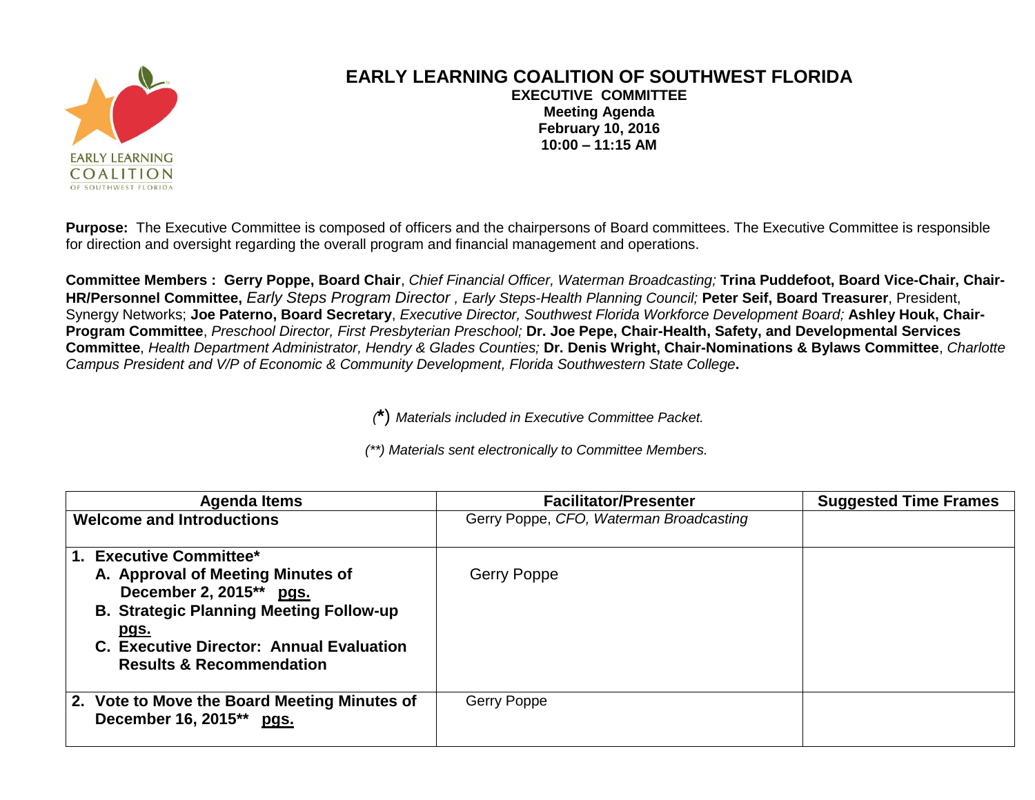

## **EARLY LEARNING COALITION OF SOUTHWEST FLORIDA EXECUTIVE COMMITTEE Meeting Agenda February 10, 2016 10:00 – 11:15 AM**

**Purpose:** The Executive Committee is composed of officers and the chairpersons of Board committees. The Executive Committee is responsible for direction and oversight regarding the overall program and financial management and operations.

**Committee Members : Gerry Poppe, Board Chair**, *Chief Financial Officer, Waterman Broadcasting;* **Trina Puddefoot, Board Vice-Chair, Chair-HR/Personnel Committee,** *Early Steps Program Director , Early Steps-Health Planning Council;* **Peter Seif, Board Treasurer**, President, Synergy Networks; **Joe Paterno, Board Secretary**, *Executive Director, Southwest Florida Workforce Development Board;* **Ashley Houk, Chair-Program Committee**, *Preschool Director, First Presbyterian Preschool;* **Dr. Joe Pepe, Chair-Health, Safety, and Developmental Services Committee**, *Health Department Administrator, Hendry & Glades Counties;* **Dr. Denis Wright, Chair-Nominations & Bylaws Committee**, *Charlotte Campus President and V/P of Economic & Community Development, Florida Southwestern State College***.**

*(***\***) *Materials included in Executive Committee Packet.*

*(\*\*) Materials sent electronically to Committee Members.*

| Agenda Items                                                                                                                                                                                                                                | <b>Facilitator/Presenter</b>            | <b>Suggested Time Frames</b> |
|---------------------------------------------------------------------------------------------------------------------------------------------------------------------------------------------------------------------------------------------|-----------------------------------------|------------------------------|
| <b>Welcome and Introductions</b>                                                                                                                                                                                                            | Gerry Poppe, CFO, Waterman Broadcasting |                              |
| 1. Executive Committee*<br>A. Approval of Meeting Minutes of<br>December 2, 2015** pgs.<br><b>B. Strategic Planning Meeting Follow-up</b><br><u>pgs.</u><br>C. Executive Director: Annual Evaluation<br><b>Results &amp; Recommendation</b> | Gerry Poppe                             |                              |
| 2. Vote to Move the Board Meeting Minutes of<br>December 16, 2015** pgs.                                                                                                                                                                    | Gerry Poppe                             |                              |